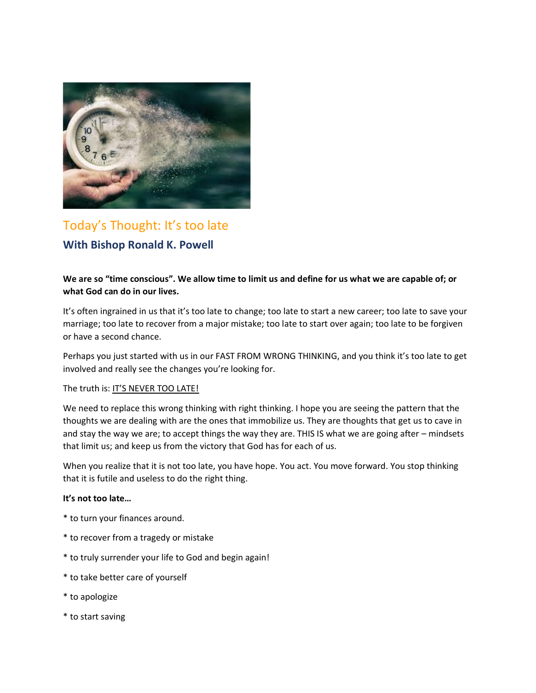

# Today's Thought: It's too late **With Bishop Ronald K. Powell**

# **We are so "time conscious". We allow time to limit us and define for us what we are capable of; or what God can do in our lives.**

It's often ingrained in us that it's too late to change; too late to start a new career; too late to save your marriage; too late to recover from a major mistake; too late to start over again; too late to be forgiven or have a second chance.

Perhaps you just started with us in our FAST FROM WRONG THINKING, and you think it's too late to get involved and really see the changes you're looking for.

#### The truth is: IT'S NEVER TOO LATE!

We need to replace this wrong thinking with right thinking. I hope you are seeing the pattern that the thoughts we are dealing with are the ones that immobilize us. They are thoughts that get us to cave in and stay the way we are; to accept things the way they are. THIS IS what we are going after – mindsets that limit us; and keep us from the victory that God has for each of us.

When you realize that it is not too late, you have hope. You act. You move forward. You stop thinking that it is futile and useless to do the right thing.

#### **It's not too late…**

- \* to turn your finances around.
- \* to recover from a tragedy or mistake
- \* to truly surrender your life to God and begin again!
- \* to take better care of yourself
- \* to apologize
- \* to start saving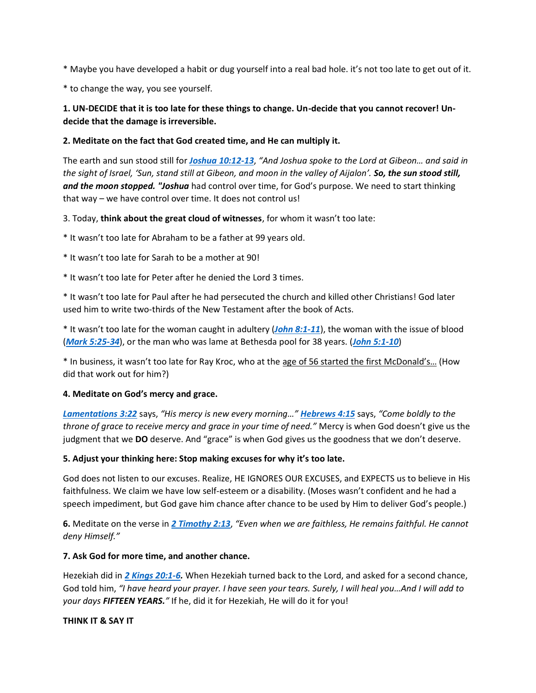\* Maybe you have developed a habit or dug yourself into a real bad hole. it's not too late to get out of it.

\* to change the way, you see yourself.

# **1. UN-DECIDE that it is too late for these things to change. Un-decide that you cannot recover! Undecide that the damage is irreversible.**

### **2. Meditate on the fact that God created time, and He can multiply it.**

The earth and sun stood still for *[Joshua 10:12-13](https://biblia.com/bible/kjv1900/Josh%2010.12-13)*, *"And Joshua spoke to the Lord at Gibeon… and said in the sight of Israel, 'Sun, stand still at Gibeon, and moon in the valley of Aijalon'. So, the sun stood still,*  and the moon stopped. "Joshua had control over time, for God's purpose. We need to start thinking that way – we have control over time. It does not control us!

3. Today, **think about the great cloud of witnesses**, for whom it wasn't too late:

\* It wasn't too late for Abraham to be a father at 99 years old.

\* It wasn't too late for Sarah to be a mother at 90!

\* It wasn't too late for Peter after he denied the Lord 3 times.

\* It wasn't too late for Paul after he had persecuted the church and killed other Christians! God later used him to write two-thirds of the New Testament after the book of Acts.

\* It wasn't too late for the woman caught in adultery (*[John 8:1-11](https://biblia.com/bible/kjv1900/John%208.1-11)*), the woman with the issue of blood (*[Mark 5:25-34](https://biblia.com/bible/kjv1900/Mark%205.25-34)*), or the man who was lame at Bethesda pool for 38 years. (*[John 5:1-10](https://biblia.com/bible/kjv1900/John%205.1-10)*)

\* In business, it wasn't too late for Ray Kroc, who at the age of 56 started the first McDonald's… (How did that work out for him?)

#### **4. Meditate on God's mercy and grace.**

*[Lamentations 3:22](https://biblia.com/bible/kjv1900/Lam%203.22)* says, *"His mercy is new every morning…" [Hebrews 4:15](https://biblia.com/bible/kjv1900/Heb%204.15)* says, *"Come boldly to the throne of grace to receive mercy and grace in your time of need."* Mercy is when God doesn't give us the judgment that we **DO** deserve. And "grace" is when God gives us the goodness that we don't deserve.

#### **5. Adjust your thinking here: Stop making excuses for why it's too late.**

God does not listen to our excuses. Realize, HE IGNORES OUR EXCUSES, and EXPECTS us to believe in His faithfulness. We claim we have low self-esteem or a disability. (Moses wasn't confident and he had a speech impediment, but God gave him chance after chance to be used by Him to deliver God's people.)

**6.** Meditate on the verse in *[2 Timothy 2:13](https://biblia.com/bible/kjv1900/2%20Tim%202.13)*, *"Even when we are faithless, He remains faithful. He cannot deny Himself."*

#### **7. Ask God for more time, and another chance.**

Hezekiah did in *[2 Kings 20:1-6.](https://biblia.com/bible/kjv1900/2%20Kings%2020.1-6)* When Hezekiah turned back to the Lord, and asked for a second chance, God told him, *"I have heard your prayer. I have seen your tears. Surely, I will heal you…And I will add to your days FIFTEEN YEARS."* If he, did it for Hezekiah, He will do it for you!

#### **THINK IT & SAY IT**